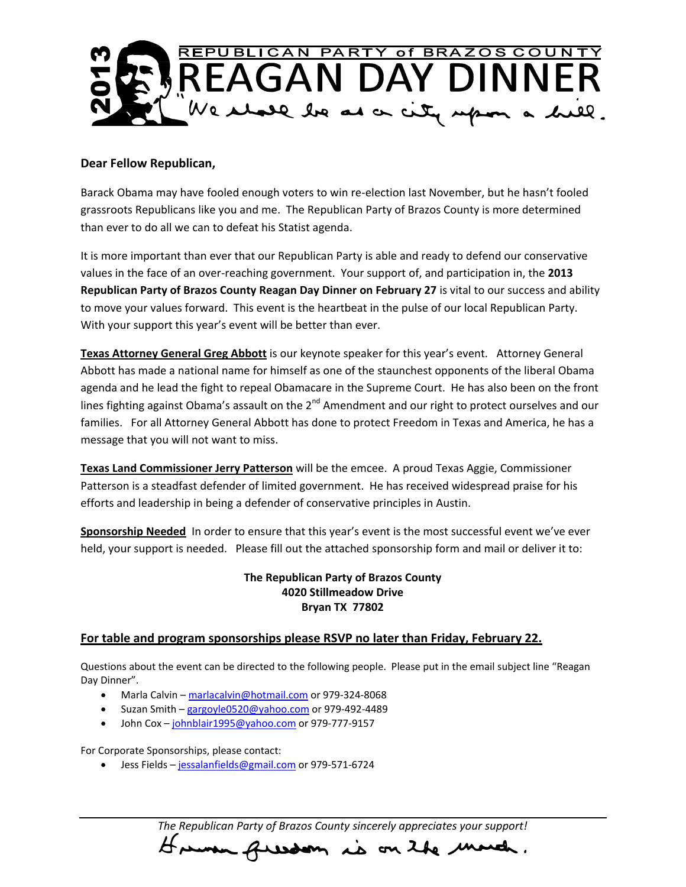

#### **Dear Fellow Republican,**

Barack Obama may have fooled enough voters to win re-election last November, but he hasn't fooled grassroots Republicans like you and me. The Republican Party of Brazos County is more determined than ever to do all we can to defeat his Statist agenda.

It is more important than ever that our Republican Party is able and ready to defend our conservative values in the face of an over-reaching government. Your support of, and participation in, the **2013 Republican Party of Brazos County Reagan Day Dinner on February 27** is vital to our success and ability to move your values forward. This event is the heartbeat in the pulse of our local Republican Party. With your support this year's event will be better than ever.

**Texas Attorney General Greg Abbott** is our keynote speaker for this year's event. Attorney General Abbott has made a national name for himself as one of the staunchest opponents of the liberal Obama agenda and he lead the fight to repeal Obamacare in the Supreme Court. He has also been on the front lines fighting against Obama's assault on the 2<sup>nd</sup> Amendment and our right to protect ourselves and our families. For all Attorney General Abbott has done to protect Freedom in Texas and America, he has a message that you will not want to miss.

**Texas Land Commissioner Jerry Patterson** will be the emcee. A proud Texas Aggie, Commissioner Patterson is a steadfast defender of limited government. He has received widespread praise for his efforts and leadership in being a defender of conservative principles in Austin.

**Sponsorship Needed** In order to ensure that this year's event is the most successful event we've ever held, your support is needed. Please fill out the attached sponsorship form and mail or deliver it to:

### **The Republican Party of Brazos County 4020 Stillmeadow Drive Bryan TX 77802**

#### **For table and program sponsorships please RSVP no later than Friday, February 22.**

Questions about the event can be directed to the following people. Please put in the email subject line "Reagan Day Dinner".

- Marla Calvin [marlacalvin@hotmail.com](mailto:marlacalvin@hotmail.com) or 979-324-8068
- Suzan Smith [gargoyle0520@yahoo.com](mailto:gargoyle0520@yahoo.com) or 979-492-4489
- John Cox [johnblair1995@yahoo.com](mailto:johnblair1995@yahoo.com) or 979-777-9157

For Corporate Sponsorships, please contact:

• Jess Fields – [jessalanfields@gmail.com](mailto:jessalanfields@gmail.com) or 979-571-6724

*The Republican Party of Brazos County sincerely appreciates your support!* However freedom is on the more.